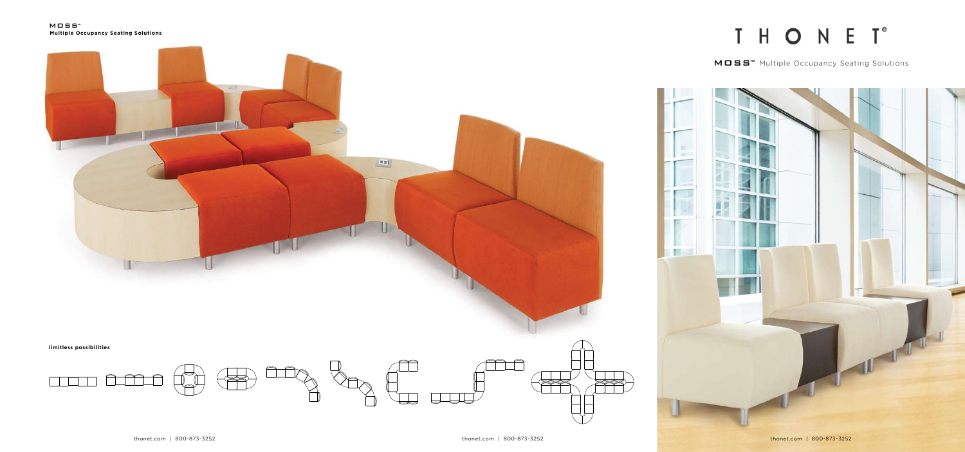**limitless possibilities**



MOSS™ **Multiple Occupancy Seating Solutions**









## T H O N E T<sup>®</sup>

MOSS<sup>™</sup> Multiple Occupancy Seating Solutions